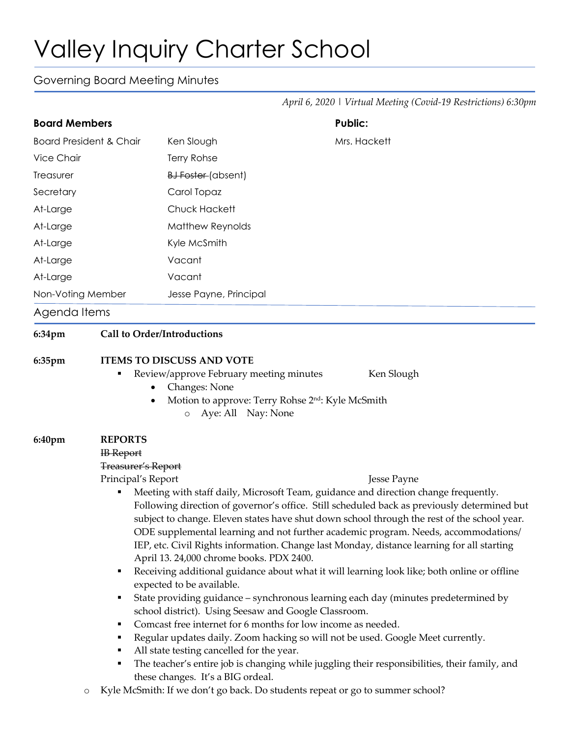## Valley Inquiry Charter School

## Governing Board Meeting Minutes

|                                    |                                                                                                                                                                                                                                                                                                                                                                                                                                                                               |                                                                                                                                                 | April 6, 2020   Virtual Meeting (Covid-19 Restrictions) 6:30pm                                                                                                                                                                                                                                                                                                                                                                                                                                                                                                                                                                                                                                                                                                                                                                                                |  |
|------------------------------------|-------------------------------------------------------------------------------------------------------------------------------------------------------------------------------------------------------------------------------------------------------------------------------------------------------------------------------------------------------------------------------------------------------------------------------------------------------------------------------|-------------------------------------------------------------------------------------------------------------------------------------------------|---------------------------------------------------------------------------------------------------------------------------------------------------------------------------------------------------------------------------------------------------------------------------------------------------------------------------------------------------------------------------------------------------------------------------------------------------------------------------------------------------------------------------------------------------------------------------------------------------------------------------------------------------------------------------------------------------------------------------------------------------------------------------------------------------------------------------------------------------------------|--|
| <b>Board Members</b>               |                                                                                                                                                                                                                                                                                                                                                                                                                                                                               |                                                                                                                                                 | <b>Public:</b>                                                                                                                                                                                                                                                                                                                                                                                                                                                                                                                                                                                                                                                                                                                                                                                                                                                |  |
| <b>Board President &amp; Chair</b> |                                                                                                                                                                                                                                                                                                                                                                                                                                                                               | Ken Slough                                                                                                                                      | Mrs. Hackett                                                                                                                                                                                                                                                                                                                                                                                                                                                                                                                                                                                                                                                                                                                                                                                                                                                  |  |
| <b>Vice Chair</b>                  |                                                                                                                                                                                                                                                                                                                                                                                                                                                                               | Terry Rohse                                                                                                                                     |                                                                                                                                                                                                                                                                                                                                                                                                                                                                                                                                                                                                                                                                                                                                                                                                                                                               |  |
| Treasurer                          |                                                                                                                                                                                                                                                                                                                                                                                                                                                                               | BJ Foster (absent)                                                                                                                              |                                                                                                                                                                                                                                                                                                                                                                                                                                                                                                                                                                                                                                                                                                                                                                                                                                                               |  |
| Secretary                          |                                                                                                                                                                                                                                                                                                                                                                                                                                                                               | Carol Topaz                                                                                                                                     |                                                                                                                                                                                                                                                                                                                                                                                                                                                                                                                                                                                                                                                                                                                                                                                                                                                               |  |
| At-Large                           |                                                                                                                                                                                                                                                                                                                                                                                                                                                                               | <b>Chuck Hackett</b>                                                                                                                            |                                                                                                                                                                                                                                                                                                                                                                                                                                                                                                                                                                                                                                                                                                                                                                                                                                                               |  |
| At-Large                           |                                                                                                                                                                                                                                                                                                                                                                                                                                                                               | Matthew Reynolds                                                                                                                                |                                                                                                                                                                                                                                                                                                                                                                                                                                                                                                                                                                                                                                                                                                                                                                                                                                                               |  |
| At-Large                           |                                                                                                                                                                                                                                                                                                                                                                                                                                                                               | Kyle McSmith                                                                                                                                    |                                                                                                                                                                                                                                                                                                                                                                                                                                                                                                                                                                                                                                                                                                                                                                                                                                                               |  |
| At-Large                           |                                                                                                                                                                                                                                                                                                                                                                                                                                                                               | Vacant                                                                                                                                          |                                                                                                                                                                                                                                                                                                                                                                                                                                                                                                                                                                                                                                                                                                                                                                                                                                                               |  |
| At-Large                           |                                                                                                                                                                                                                                                                                                                                                                                                                                                                               | Vacant                                                                                                                                          |                                                                                                                                                                                                                                                                                                                                                                                                                                                                                                                                                                                                                                                                                                                                                                                                                                                               |  |
| Non-Voting Member                  |                                                                                                                                                                                                                                                                                                                                                                                                                                                                               | Jesse Payne, Principal                                                                                                                          |                                                                                                                                                                                                                                                                                                                                                                                                                                                                                                                                                                                                                                                                                                                                                                                                                                                               |  |
| Agenda Items                       |                                                                                                                                                                                                                                                                                                                                                                                                                                                                               |                                                                                                                                                 |                                                                                                                                                                                                                                                                                                                                                                                                                                                                                                                                                                                                                                                                                                                                                                                                                                                               |  |
| 6:34pm                             | Call to Order/Introductions                                                                                                                                                                                                                                                                                                                                                                                                                                                   |                                                                                                                                                 |                                                                                                                                                                                                                                                                                                                                                                                                                                                                                                                                                                                                                                                                                                                                                                                                                                                               |  |
|                                    |                                                                                                                                                                                                                                                                                                                                                                                                                                                                               | Review/approve February meeting minutes<br>Changes: None<br>Motion to approve: Terry Rohse 2 <sup>nd</sup> : Kyle McSmith<br>Aye: All Nay: None | Ken Slough                                                                                                                                                                                                                                                                                                                                                                                                                                                                                                                                                                                                                                                                                                                                                                                                                                                    |  |
| 6:40pm<br>$\circ$                  | <b>REPORTS</b><br><b>IB</b> Report<br><b>Treasurer's Report</b><br>Principal's Report<br>April 13. 24,000 chrome books. PDX 2400.<br>٠<br>expected to be available.<br>٠<br>school district). Using Seesaw and Google Classroom.<br>Comcast free internet for 6 months for low income as needed.<br>٠<br>٠<br>All state testing cancelled for the year.<br>these changes. It's a BIG ordeal.<br>Kyle McSmith: If we don't go back. Do students repeat or go to summer school? |                                                                                                                                                 | Jesse Payne<br>Meeting with staff daily, Microsoft Team, guidance and direction change frequently.<br>Following direction of governor's office. Still scheduled back as previously determined but<br>subject to change. Eleven states have shut down school through the rest of the school year.<br>ODE supplemental learning and not further academic program. Needs, accommodations/<br>IEP, etc. Civil Rights information. Change last Monday, distance learning for all starting<br>Receiving additional guidance about what it will learning look like; both online or offline<br>State providing guidance - synchronous learning each day (minutes predetermined by<br>Regular updates daily. Zoom hacking so will not be used. Google Meet currently.<br>The teacher's entire job is changing while juggling their responsibilities, their family, and |  |